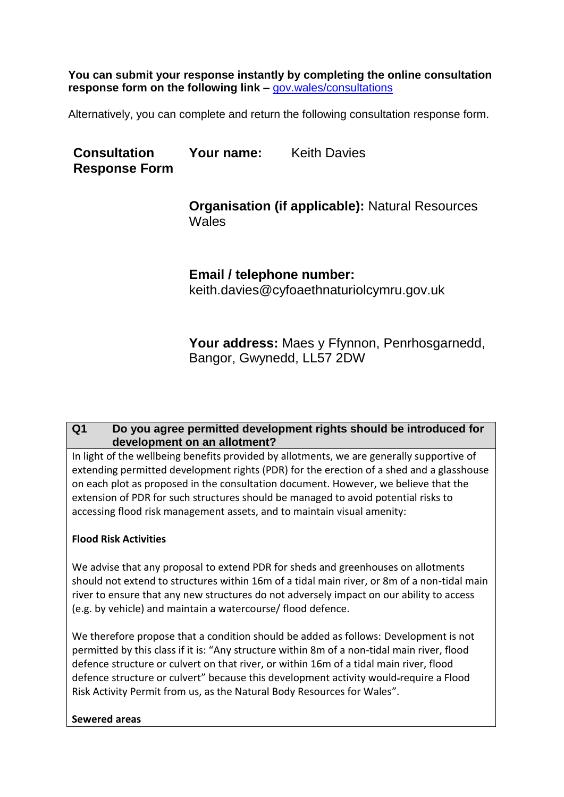**You can submit your response instantly by completing the online consultation response form on the following link –** [gov.wales/consultations](https://eur01.safelinks.protection.outlook.com/?url=https%3A%2F%2Fgov.wales%2Fconsultations&data=02%7C01%7CLuke.Seaborne%40gov.wales%7C0ca081fbd63a480397d808d76dc292f7%7Ca2cc36c592804ae78887d06dab89216b%7C0%7C0%7C637098554759891620&sdata=KA5d1ZAn6GusYGPrce9mv06U7Mj9H7OZH3sPiHVgyU8%3D&reserved=0)

Alternatively, you can complete and return the following consultation response form.

**Consultation Response Form** Your name: Keith Davies

> **Organisation (if applicable):** Natural Resources Wales

**Email / telephone number:** keith.davies@cyfoaethnaturiolcymru.gov.uk

**Your address:** Maes y Ffynnon, Penrhosgarnedd, Bangor, Gwynedd, LL57 2DW

# **Q1 Do you agree permitted development rights should be introduced for development on an allotment?**

In light of the wellbeing benefits provided by allotments, we are generally supportive of extending permitted development rights (PDR) for the erection of a shed and a glasshouse on each plot as proposed in the consultation document. However, we believe that the extension of PDR for such structures should be managed to avoid potential risks to accessing flood risk management assets, and to maintain visual amenity:

### **Flood Risk Activities**

We advise that any proposal to extend PDR for sheds and greenhouses on allotments should not extend to structures within 16m of a tidal main river, or 8m of a non-tidal main river to ensure that any new structures do not adversely impact on our ability to access (e.g. by vehicle) and maintain a watercourse/ flood defence.

We therefore propose that a condition should be added as follows: Development is not permitted by this class if it is: "Any structure within 8m of a non-tidal main river, flood defence structure or culvert on that river, or within 16m of a tidal main river, flood defence structure or culvert" because this development activity would require a Flood Risk Activity Permit from us, as the Natural Body Resources for Wales".

### **Sewered areas**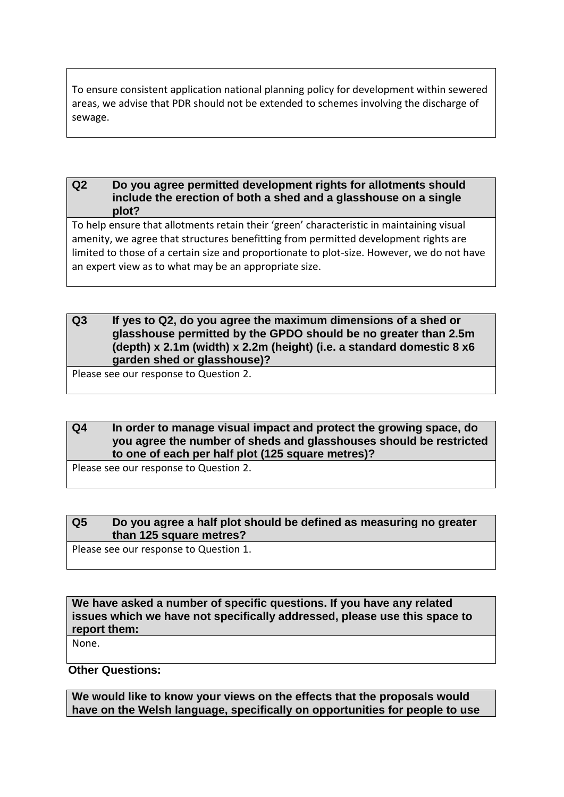To ensure consistent application national planning policy for development within sewered areas, we advise that PDR should not be extended to schemes involving the discharge of sewage.

#### **Q2 Do you agree permitted development rights for allotments should include the erection of both a shed and a glasshouse on a single plot?**

To help ensure that allotments retain their 'green' characteristic in maintaining visual amenity, we agree that structures benefitting from permitted development rights are limited to those of a certain size and proportionate to plot-size. However, we do not have an expert view as to what may be an appropriate size.

### **Q3 If yes to Q2, do you agree the maximum dimensions of a shed or glasshouse permitted by the GPDO should be no greater than 2.5m (depth) x 2.1m (width) x 2.2m (height) (i.e. a standard domestic 8 x6 garden shed or glasshouse)?**

Please see our response to Question 2.

#### **Q4 In order to manage visual impact and protect the growing space, do you agree the number of sheds and glasshouses should be restricted to one of each per half plot (125 square metres)?**

Please see our response to Question 2.

# **Q5 Do you agree a half plot should be defined as measuring no greater than 125 square metres?**

Please see our response to Question 1.

**We have asked a number of specific questions. If you have any related issues which we have not specifically addressed, please use this space to report them:**

None.

**Other Questions:**

**We would like to know your views on the effects that the proposals would have on the Welsh language, specifically on opportunities for people to use**